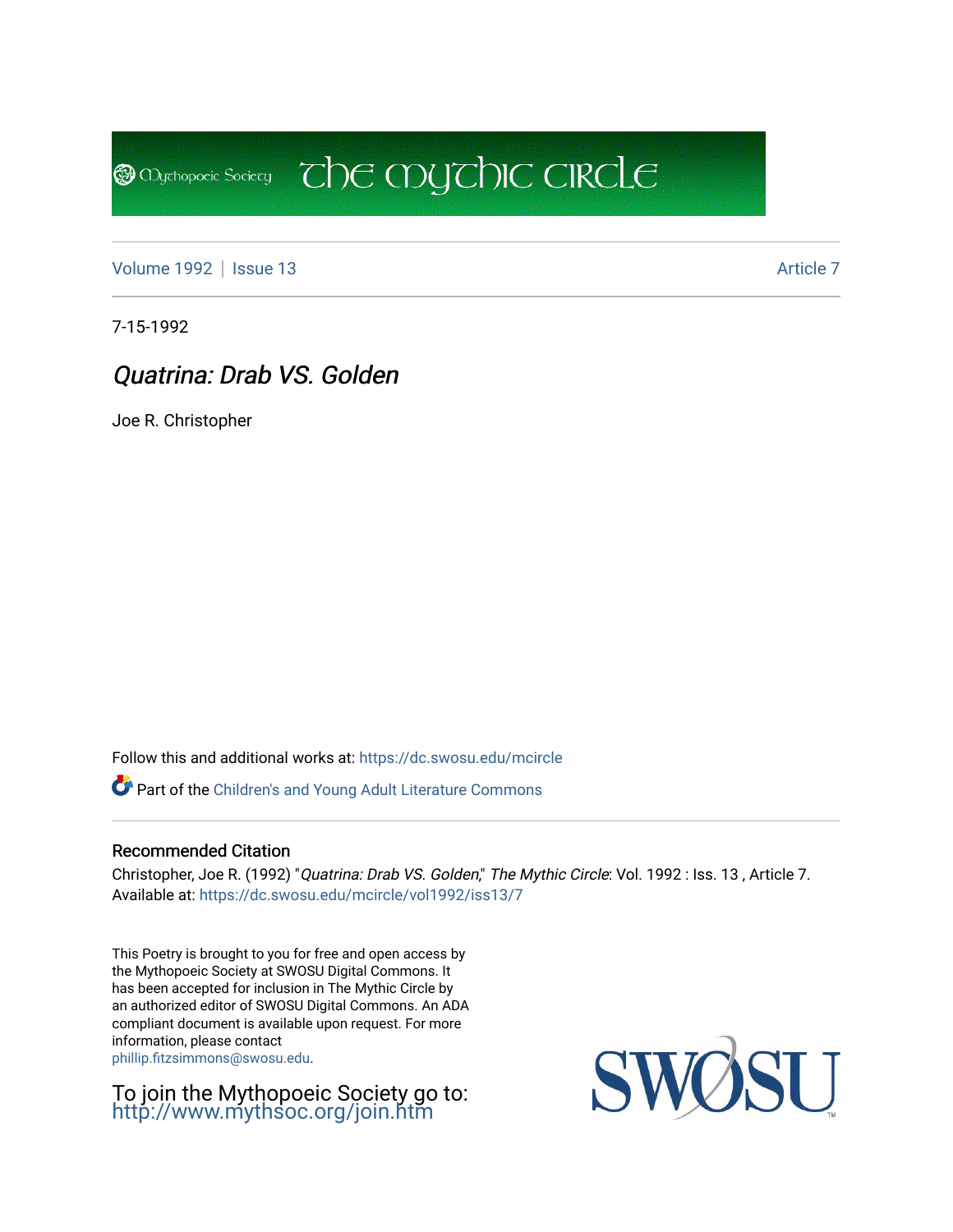[Volume 1992](https://dc.swosu.edu/mcircle/vol1992) | [Issue 13](https://dc.swosu.edu/mcircle/vol1992/iss13) Article 7

**@** Mychopoeic Sociecy

7-15-1992

# Quatrina: Drab VS. Golden

Joe R. Christopher

Follow this and additional works at: [https://dc.swosu.edu/mcircle](https://dc.swosu.edu/mcircle?utm_source=dc.swosu.edu%2Fmcircle%2Fvol1992%2Fiss13%2F7&utm_medium=PDF&utm_campaign=PDFCoverPages) 

Part of the [Children's and Young Adult Literature Commons](http://network.bepress.com/hgg/discipline/1289?utm_source=dc.swosu.edu%2Fmcircle%2Fvol1992%2Fiss13%2F7&utm_medium=PDF&utm_campaign=PDFCoverPages) 

#### Recommended Citation

Christopher, Joe R. (1992) "Quatrina: Drab VS. Golden," The Mythic Circle: Vol. 1992 : Iss. 13 , Article 7. Available at: [https://dc.swosu.edu/mcircle/vol1992/iss13/7](https://dc.swosu.edu/mcircle/vol1992/iss13/7?utm_source=dc.swosu.edu%2Fmcircle%2Fvol1992%2Fiss13%2F7&utm_medium=PDF&utm_campaign=PDFCoverPages)

 $\overline{C}$  the mychic circle

This Poetry is brought to you for free and open access by the Mythopoeic Society at SWOSU Digital Commons. It has been accepted for inclusion in The Mythic Circle by an authorized editor of SWOSU Digital Commons. An ADA compliant document is available upon request. For more information, please contact [phillip.fitzsimmons@swosu.edu](mailto:phillip.fitzsimmons@swosu.edu).

To join the Mythopoeic Society go to: <http://www.mythsoc.org/join.htm>

SWO **STT**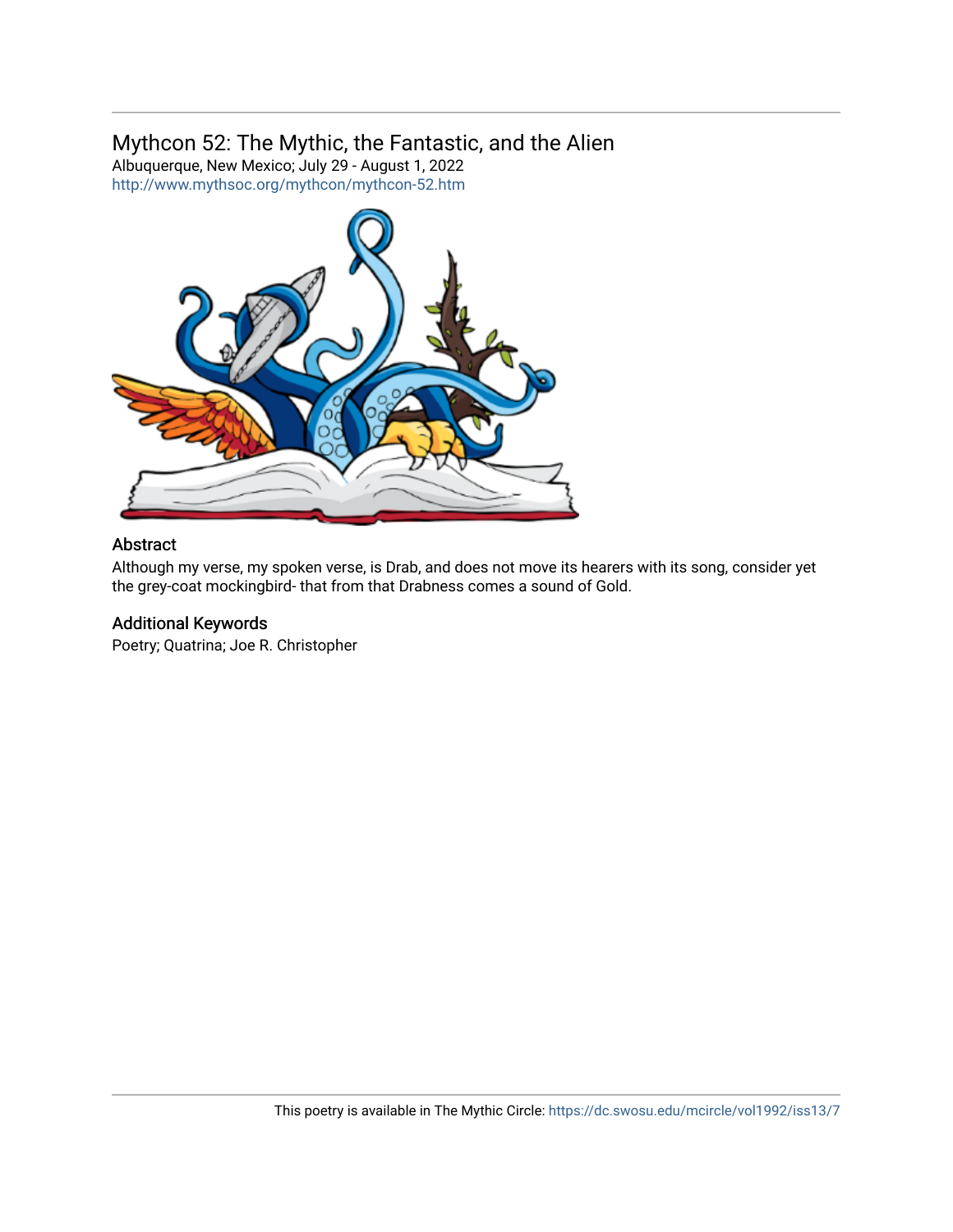# Mythcon 52: The Mythic, the Fantastic, and the Alien

Albuquerque, New Mexico; July 29 - August 1, 2022 <http://www.mythsoc.org/mythcon/mythcon-52.htm>



#### Abstract

Although my verse, my spoken verse, is Drab, and does not move its hearers with its song, consider yet the grey-coat mockingbird- that from that Drabness comes a sound of Gold.

## Additional Keywords

Poetry; Quatrina; Joe R. Christopher